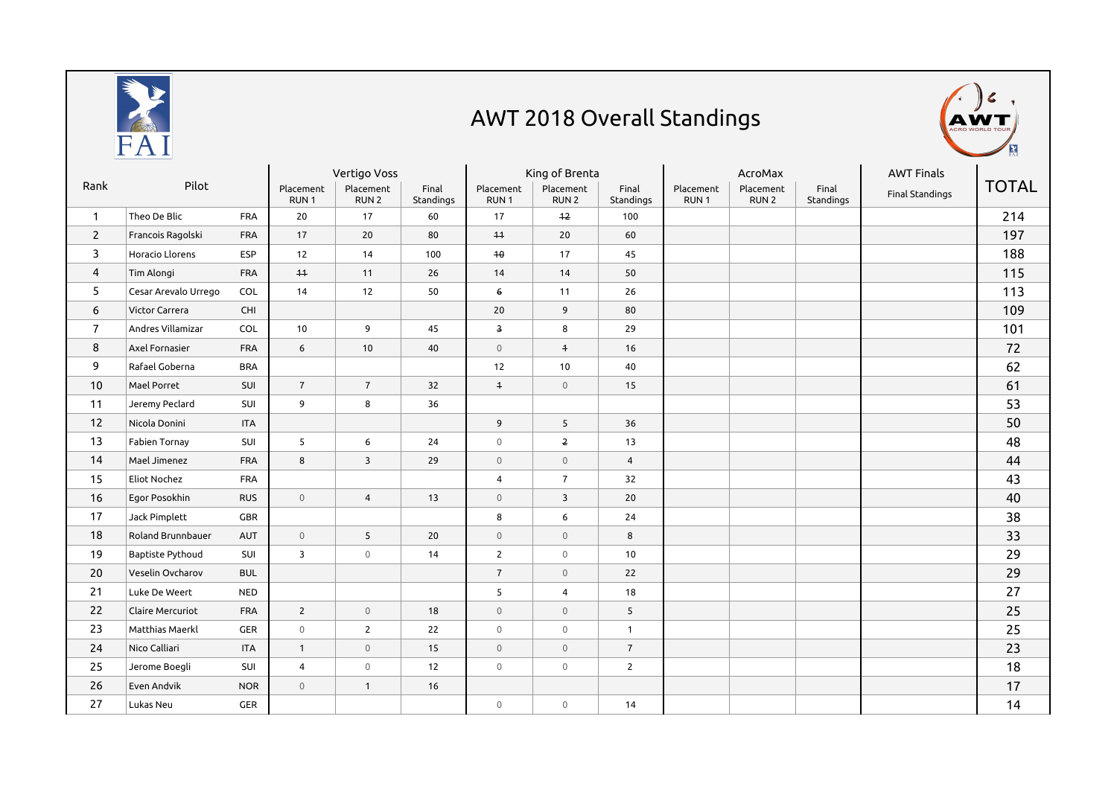

## AWT 2018 Overall Standings



| Rank           | Pilot                |            | Vertigo Voss                  |                               |                    | King of Brenta                |                               |                    | AcroMax                       |                               |                    | <b>AWT Finals</b> |              |
|----------------|----------------------|------------|-------------------------------|-------------------------------|--------------------|-------------------------------|-------------------------------|--------------------|-------------------------------|-------------------------------|--------------------|-------------------|--------------|
|                |                      |            | Placement<br>RUN <sub>1</sub> | Placement<br>RUN <sub>2</sub> | Final<br>Standings | Placement<br>RUN <sub>1</sub> | Placement<br>RUN <sub>2</sub> | Final<br>Standings | Placement<br>RUN <sub>1</sub> | Placement<br>RUN <sub>2</sub> | Final<br>Standings | Final Standings   | <b>TOTAL</b> |
| $\mathbf{1}$   | Theo De Blic         | <b>FRA</b> | 20                            | 17                            | 60                 | 17                            | $+2$                          | 100                |                               |                               |                    |                   | 214          |
| $\overline{2}$ | Francois Ragolski    | <b>FRA</b> | 17                            | 20                            | 80                 | $+1$                          | 20                            | 60                 |                               |                               |                    |                   | 197          |
| 3              | Horacio Llorens      | <b>ESP</b> | 12                            | 14                            | 100                | 40                            | 17                            | 45                 |                               |                               |                    |                   | 188          |
| $\overline{4}$ | Tim Alongi           | <b>FRA</b> | $+4$                          | 11                            | 26                 | 14                            | 14                            | 50                 |                               |                               |                    |                   | 115          |
| 5              | Cesar Arevalo Urrego | COL        | 14                            | 12                            | 50                 | $6 \theta$                    | 11                            | 26                 |                               |                               |                    |                   | 113          |
| 6              | Victor Carrera       | CHI        |                               |                               |                    | 20                            | 9                             | 80                 |                               |                               |                    |                   | 109          |
| $\overline{7}$ | Andres Villamizar    | COL        | 10                            | 9                             | 45                 | $\overline{\mathbf{3}}$       | 8                             | 29                 |                               |                               |                    |                   | 101          |
| 8              | Axel Fornasier       | <b>FRA</b> | 6                             | 10                            | 40                 | $\mathbb O$                   | $\overline{+}$                | 16                 |                               |                               |                    |                   | 72           |
| 9              | Rafael Goberna       | <b>BRA</b> |                               |                               |                    | 12                            | 10                            | 40                 |                               |                               |                    |                   | 62           |
| 10             | Mael Porret          | SUI        | $\overline{7}$                | $\overline{7}$                | 32                 | $\ddagger$                    | $\mathbb O$                   | 15                 |                               |                               |                    |                   | 61           |
| 11             | Jeremy Peclard       | SUI        | 9                             | 8                             | 36                 |                               |                               |                    |                               |                               |                    |                   | 53           |
| 12             | Nicola Donini        | <b>ITA</b> |                               |                               |                    | 9                             | 5                             | 36                 |                               |                               |                    |                   | 50           |
| 13             | Fabien Tornay        | SUI        | 5                             | 6                             | 24                 | $\circ$                       | $\overline{2}$                | 13                 |                               |                               |                    |                   | 48           |
| 14             | Mael Jimenez         | <b>FRA</b> | 8                             | 3                             | 29                 | $\mathbb O$                   | $\mathbb O$                   | $\overline{4}$     |                               |                               |                    |                   | 44           |
| 15             | <b>Eliot Nochez</b>  | <b>FRA</b> |                               |                               |                    | $\overline{4}$                | $\overline{7}$                | 32                 |                               |                               |                    |                   | 43           |
| 16             | Egor Posokhin        | <b>RUS</b> | $\mathbf 0$                   | $\overline{4}$                | 13                 | $\overline{0}$                | $\overline{3}$                | 20                 |                               |                               |                    |                   | 40           |
| 17             | Jack Pimplett        | GBR        |                               |                               |                    | 8                             | 6                             | 24                 |                               |                               |                    |                   | 38           |
| 18             | Roland Brunnbauer    | AUT        | $\mathbb O$                   | 5                             | 20                 | $\mathbb O$                   | $\mathbb O$                   | 8                  |                               |                               |                    |                   | 33           |
| 19             | Baptiste Pythoud     | SUI        | 3                             | $\mathbf 0$                   | 14                 | $\overline{2}$                | $\mathbf 0$                   | 10                 |                               |                               |                    |                   | 29           |
| 20             | Veselin Ovcharov     | <b>BUL</b> |                               |                               |                    | $\overline{7}$                | $\mathbb O$                   | 22                 |                               |                               |                    |                   | 29           |
| 21             | Luke De Weert        | <b>NED</b> |                               |                               |                    | 5                             | $\overline{4}$                | 18                 |                               |                               |                    |                   | 27           |
| 22             | Claire Mercuriot     | <b>FRA</b> | $\overline{2}$                | $\mathsf{O}\xspace$           | 18                 | $\mathbb O$                   | $\mathbb O$                   | 5                  |                               |                               |                    |                   | 25           |
| 23             | Matthias Maerkl      | <b>GER</b> | $\mathsf{O}\xspace$           | $\overline{2}$                | 22                 | $\mathbb O$                   | $\mathbb O$                   | $\mathbf{1}$       |                               |                               |                    |                   | 25           |
| 24             | Nico Calliari        | <b>ITA</b> | $\mathbf{1}$                  | $\overline{0}$                | 15                 | $\mathbf{0}$                  | $\mathbb O$                   | $\overline{7}$     |                               |                               |                    |                   | 23           |
| 25             | Jerome Boegli        | SUI        | $\overline{4}$                | $\mathsf{O}\xspace$           | 12                 | $\mathbf 0$                   | $\mathbf 0$                   | $\overline{2}$     |                               |                               |                    |                   | 18           |
| 26             | Even Andvik          | <b>NOR</b> | $\mathsf{O}\xspace$           | $\mathbf{1}$                  | 16                 |                               |                               |                    |                               |                               |                    |                   | 17           |
| 27             | Lukas Neu            | <b>GER</b> |                               |                               |                    | $\mathbf 0$                   | $\mathbf{0}$                  | 14                 |                               |                               |                    |                   | 14           |